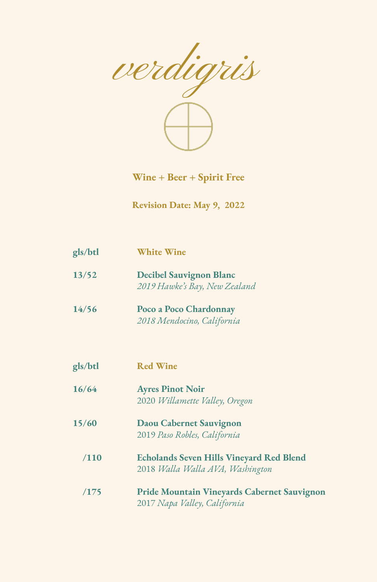

**Wine + Beer + Spirit Free**

**Revision Date: May 9, 2022**

| gls/btl | <b>White Wine</b>                                                                   |
|---------|-------------------------------------------------------------------------------------|
| 13/52   | <b>Decibel Sauvignon Blanc</b><br>2019 Hawke's Bay, New Zealand                     |
| 14/56   | Poco a Poco Chardonnay<br>2018 Mendocino, California                                |
| gls/btl | <b>Red Wine</b>                                                                     |
| 16/64   | <b>Ayres Pinot Noir</b><br>2020 Willamette Valley, Oregon                           |
| 15/60   | <b>Daou Cabernet Sauvignon</b><br>2019 Paso Robles, California                      |
| /110    | <b>Echolands Seven Hills Vineyard Red Blend</b><br>2018 Walla Walla AVA, Washington |
| /175    | <b>Pride Mountain Vineyards Cabernet Sauvignon</b><br>2017 Napa Valley, California  |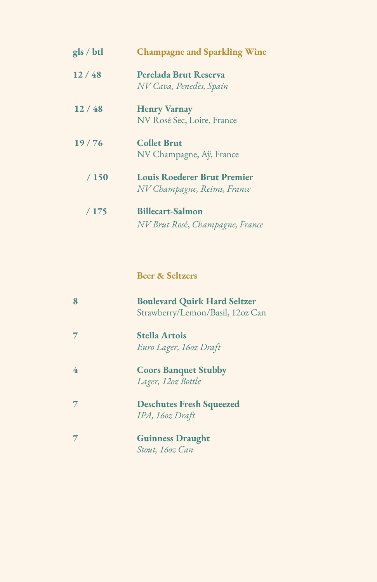| gls / btl | <b>Champagne and Sparkling Wine</b>                               |
|-----------|-------------------------------------------------------------------|
| 12/48     | Perelada Brut Reserva<br>NV Cava, Penedès, Spain                  |
| 12/48     | <b>Henry Varnay</b><br>NV Rosé Sec, Loire, France                 |
| 19/76     | <b>Collet Brut</b><br>NV Champagne, Aÿ, France                    |
| /150      | <b>Louis Roederer Brut Premier</b><br>NV Champagne, Reims, France |
| /175      | <b>Billecart-Salmon</b><br>NV Brut Rosé, Champagne, France        |

**Beer & Seltzers**

| 8 | <b>Boulevard Quirk Hard Seltzer</b><br>Strawberry/Lemon/Basil, 12oz Can |
|---|-------------------------------------------------------------------------|
|   | <b>Stella Artois</b><br>Euro Lager, 16oz Draft                          |
| 4 | <b>Coors Banquet Stubby</b><br>Lager, 12oz Bottle                       |
|   | <b>Deschutes Fresh Squeezed</b><br>IPA, 160z Draft                      |
|   | <b>Guinness Draught</b><br>Stout, 16oz Can                              |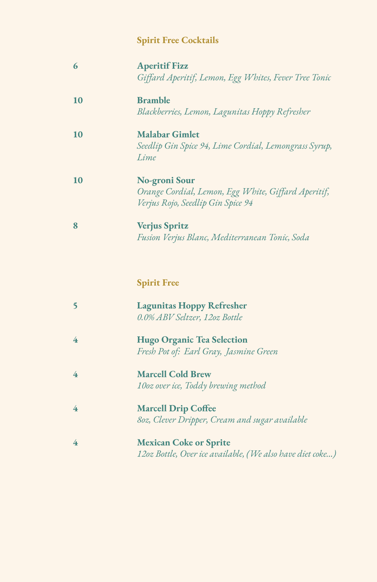## **Spirit Free Cocktails**

| 6  | <b>Aperitif Fizz</b><br>Giffard Aperitif, Lemon, Egg Whites, Fever Tree Tonic                             |
|----|-----------------------------------------------------------------------------------------------------------|
| 10 | <b>Bramble</b><br>Blackberries, Lemon, Lagunitas Hoppy Refresher                                          |
| 10 | <b>Malabar Gimlet</b><br>Seedlip Gin Spice 94, Lime Cordial, Lemongrass Syrup,<br>Lime                    |
| 10 | No-groni Sour<br>Orange Cordial, Lemon, Egg White, Giffard Aperitif,<br>Verjus Rojo, Seedlip Gin Spice 94 |
| 8  | <b>Verjus Spritz</b><br>Fusion Verjus Blanc, Mediterranean Tonic, Soda                                    |

## **Spirit Free**

| <b>Lagunitas Hoppy Refresher</b> |
|----------------------------------|
| 0.0% ABV Seltzer, 12oz Bottle    |

- **4 Hugo Organic Tea Selection** *Fresh Pot of: Earl Gray, Jasmine Green*
- **4 Marcell Cold Brew** *10oz over ice, Toddy brewing method*
- **4 Marcell Drip Coffee** *8oz, Clever Dripper, Cream and sugar available*
- **4 Mexican Coke or Sprite** *12oz Bottle, Over ice available, (We also have diet coke…)*